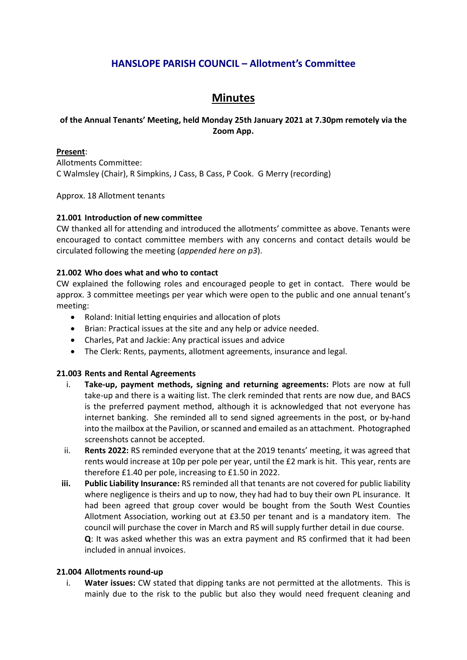# **HANSLOPE PARISH COUNCIL – Allotment's Committee**

# **Minutes**

# **of the Annual Tenants' Meeting, held Monday 25th January 2021 at 7.30pm remotely via the Zoom App.**

## **Present**:

Allotments Committee: C Walmsley (Chair), R Simpkins, J Cass, B Cass, P Cook. G Merry (recording)

Approx. 18 Allotment tenants

# **21.001 Introduction of new committee**

CW thanked all for attending and introduced the allotments' committee as above. Tenants were encouraged to contact committee members with any concerns and contact details would be circulated following the meeting (*appended here on p3*).

### **21.002 Who does what and who to contact**

CW explained the following roles and encouraged people to get in contact. There would be approx. 3 committee meetings per year which were open to the public and one annual tenant's meeting:

- Roland: Initial letting enquiries and allocation of plots
- Brian: Practical issues at the site and any help or advice needed.
- Charles, Pat and Jackie: Any practical issues and advice
- The Clerk: Rents, payments, allotment agreements, insurance and legal.

#### **21.003 Rents and Rental Agreements**

- i. **Take-up, payment methods, signing and returning agreements:** Plots are now at full take-up and there is a waiting list. The clerk reminded that rents are now due, and BACS is the preferred payment method, although it is acknowledged that not everyone has internet banking. She reminded all to send signed agreements in the post, or by-hand into the mailbox at the Pavilion, or scanned and emailed as an attachment. Photographed screenshots cannot be accepted.
- ii. **Rents 2022:** RS reminded everyone that at the 2019 tenants' meeting, it was agreed that rents would increase at 10p per pole per year, until the £2 mark is hit. This year, rents are therefore £1.40 per pole, increasing to £1.50 in 2022.
- **iii. Public Liability Insurance:** RS reminded all that tenants are not covered for public liability where negligence is theirs and up to now, they had had to buy their own PL insurance. It had been agreed that group cover would be bought from the South West Counties Allotment Association, working out at £3.50 per tenant and is a mandatory item. The council will purchase the cover in March and RS will supply further detail in due course. **Q**: It was asked whether this was an extra payment and RS confirmed that it had been included in annual invoices.

#### **21.004 Allotments round-up**

i. **Water issues:** CW stated that dipping tanks are not permitted at the allotments. This is mainly due to the risk to the public but also they would need frequent cleaning and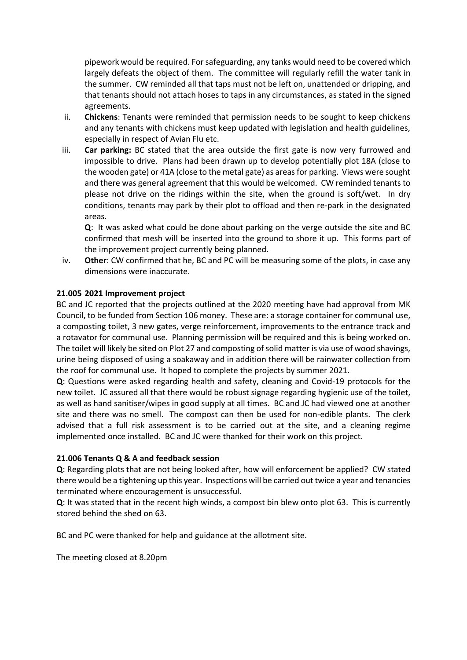pipework would be required. For safeguarding, any tanks would need to be covered which largely defeats the object of them. The committee will regularly refill the water tank in the summer. CW reminded all that taps must not be left on, unattended or dripping, and that tenants should not attach hoses to taps in any circumstances, as stated in the signed agreements.

- ii. **Chickens**: Tenants were reminded that permission needs to be sought to keep chickens and any tenants with chickens must keep updated with legislation and health guidelines, especially in respect of Avian Flu etc.
- iii. **Car parking:** BC stated that the area outside the first gate is now very furrowed and impossible to drive. Plans had been drawn up to develop potentially plot 18A (close to the wooden gate) or 41A (close to the metal gate) as areas for parking. Views were sought and there was general agreement that this would be welcomed. CW reminded tenants to please not drive on the ridings within the site, when the ground is soft/wet. In dry conditions, tenants may park by their plot to offload and then re-park in the designated areas.

**Q**: It was asked what could be done about parking on the verge outside the site and BC confirmed that mesh will be inserted into the ground to shore it up. This forms part of the improvement project currently being planned.

iv. **Other**: CW confirmed that he, BC and PC will be measuring some of the plots, in case any dimensions were inaccurate.

# **21.005 2021 Improvement project**

BC and JC reported that the projects outlined at the 2020 meeting have had approval from MK Council, to be funded from Section 106 money. These are: a storage container for communal use, a composting toilet, 3 new gates, verge reinforcement, improvements to the entrance track and a rotavator for communal use. Planning permission will be required and this is being worked on. The toilet will likely be sited on Plot 27 and composting of solid matter is via use of wood shavings, urine being disposed of using a soakaway and in addition there will be rainwater collection from the roof for communal use. It hoped to complete the projects by summer 2021.

**Q**: Questions were asked regarding health and safety, cleaning and Covid-19 protocols for the new toilet. JC assured all that there would be robust signage regarding hygienic use of the toilet, as well as hand sanitiser/wipes in good supply at all times. BC and JC had viewed one at another site and there was no smell. The compost can then be used for non-edible plants. The clerk advised that a full risk assessment is to be carried out at the site, and a cleaning regime implemented once installed. BC and JC were thanked for their work on this project.

# **21.006 Tenants Q & A and feedback session**

**Q**: Regarding plots that are not being looked after, how will enforcement be applied? CW stated there would be a tightening up this year. Inspections will be carried out twice a year and tenancies terminated where encouragement is unsuccessful.

**Q**: It was stated that in the recent high winds, a compost bin blew onto plot 63. This is currently stored behind the shed on 63.

BC and PC were thanked for help and guidance at the allotment site.

The meeting closed at 8.20pm